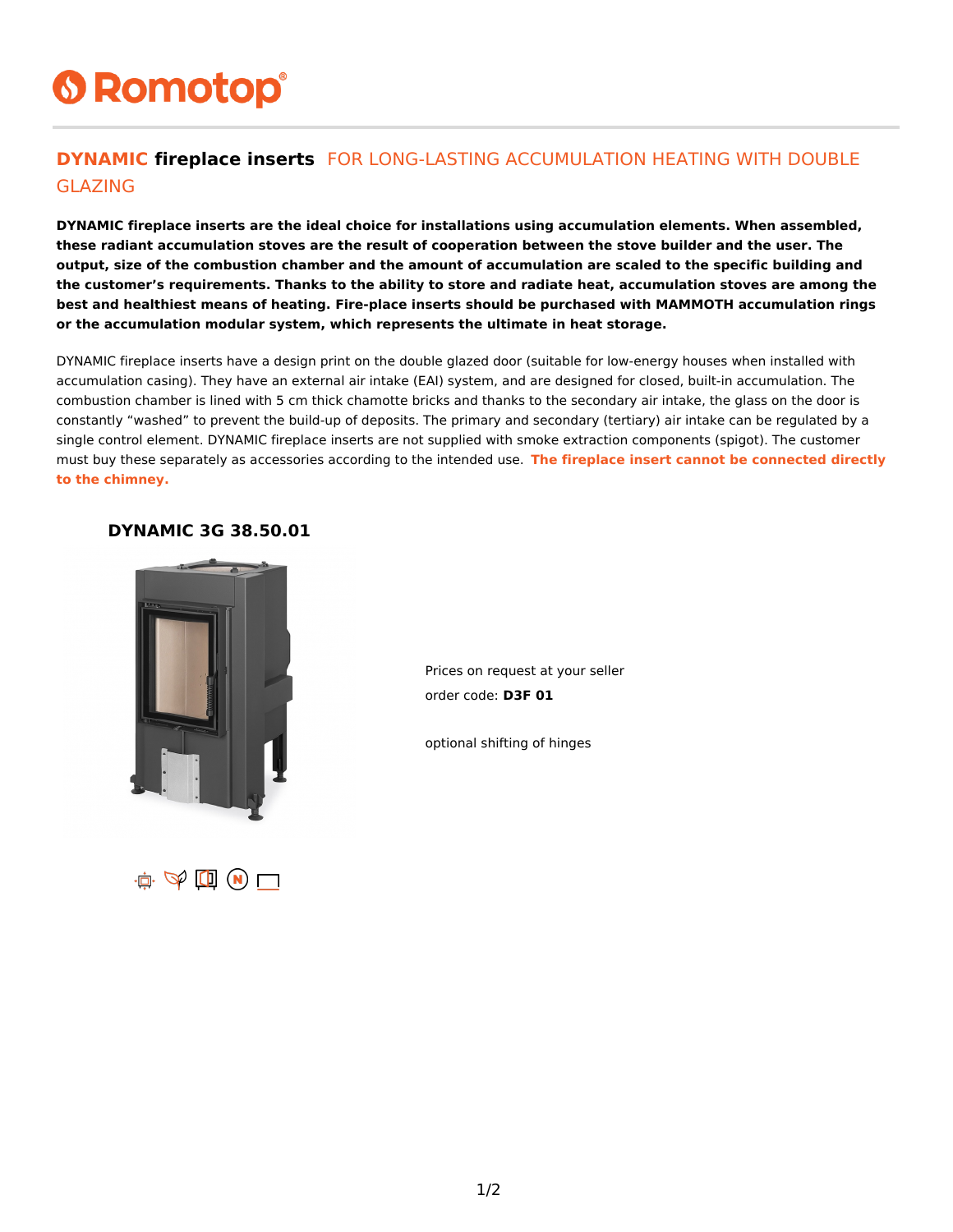# **6 Romotop®**

### **DYNAMIC fireplace inserts** FOR LONG-LASTING ACCUMULATION HEATING WITH DOUBLE GLAZING

**DYNAMIC fireplace inserts are the ideal choice for installations using accumulation elements. When assembled, these radiant accumulation stoves are the result of cooperation between the stove builder and the user. The output, size of the combustion chamber and the amount of accumulation are scaled to the specific building and the customer's requirements. Thanks to the ability to store and radiate heat, accumulation stoves are among the best and healthiest means of heating. Fire-place inserts should be purchased with MAMMOTH accumulation rings or the accumulation modular system, which represents the ultimate in heat storage.**

DYNAMIC fireplace inserts have a design print on the double glazed door (suitable for low-energy houses when installed with accumulation casing). They have an external air intake (EAI) system, and are designed for closed, built-in accumulation. The combustion chamber is lined with 5 cm thick chamotte bricks and thanks to the secondary air intake, the glass on the door is constantly "washed" to prevent the build-up of deposits. The primary and secondary (tertiary) air intake can be regulated by a single control element. DYNAMIC fireplace inserts are not supplied with smoke extraction components (spigot). The customer must buy these separately as accessories according to the intended use. **The fireplace insert cannot be connected directly to the chimney.**

#### **DYNAMIC 3G 38.50.01**



Prices on request at your seller order code: **D3F 01**

optional shifting of hinges

 $\mathbf{r}$   $\Phi$   $\mathbf{r}$   $\mathbf{r}$   $\mathbf{r}$   $\mathbf{r}$